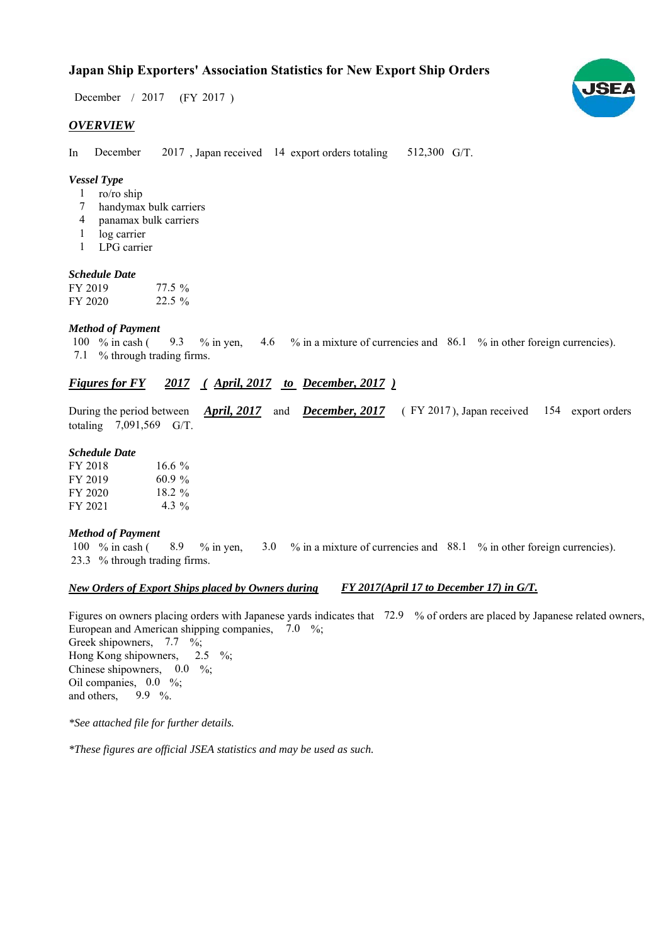### **Japan Ship Exporters' Association Statistics for New Export Ship Orders**

 $/ 2017$  (FY 2017) December / 2017

#### *OVERVIEW*

In December 2017, Japan received 14 export orders totaling 512,300 G/T. December

#### *Vessel Type*

- ro/ro ship 1
- handymax bulk carriers 7
- panamax bulk carriers 4
- log carrier 1
- LPG carrier 1

#### *Schedule Date*

| FY 2019 | $77.5\%$ |
|---------|----------|
| FY 2020 | $22.5\%$ |

#### *Method of Payment*

% in cash ( $\frac{9.3}{8}$  % in yen,  $\frac{4.6}{8}$  % in a mixture of currencies and  $\frac{86.1}{8}$  % in other foreign currencies). % through trading firms. 7.1 100  $%$  in cash ( 9.3

#### *Figures for FY* 2017 (April, 2017 to December, 2017)

During the period between *April, 2017* and *December, 2017* (FY 2017), Japan received 154 export orders totaling  $7,091,569$  G/T.

#### *Schedule Date*

| FY 2018 | $16.6\%$  |
|---------|-----------|
| FY 2019 | $60.9\%$  |
| FY 2020 | 18.2 $\%$ |
| FY 2021 | 4.3 $\%$  |

#### *Method of Payment*

% in cash ( $\frac{8.9}{8}$  % in yen,  $\frac{3.0}{8}$  % in a mixture of currencies and  $\frac{88.1}{8}$  % in other foreign currencies). % through trading firms. 23.3 100  $\%$  in cash (

#### *New Orders of Export Ships placed by Owners during FY 2017(April 17 to December 17) in G/T.*

Figures on owners placing orders with Japanese yards indicates that 72.9 % of orders are placed by Japanese related owners, European and American shipping companies,  $7.0\%$ ;

Greek shipowners,  $7.7 \frac{6}{6}$ ; Hong Kong shipowners, Chinese shipowners,  $0.0\%$ ; Oil companies,  $0.0\%$ ; and others, 9.9  $\%$ .  $2.5 \frac{6}{6}$ 

*\*See attached file for further details.*

*\*These figures are official JSEA statistics and may be used as such.*

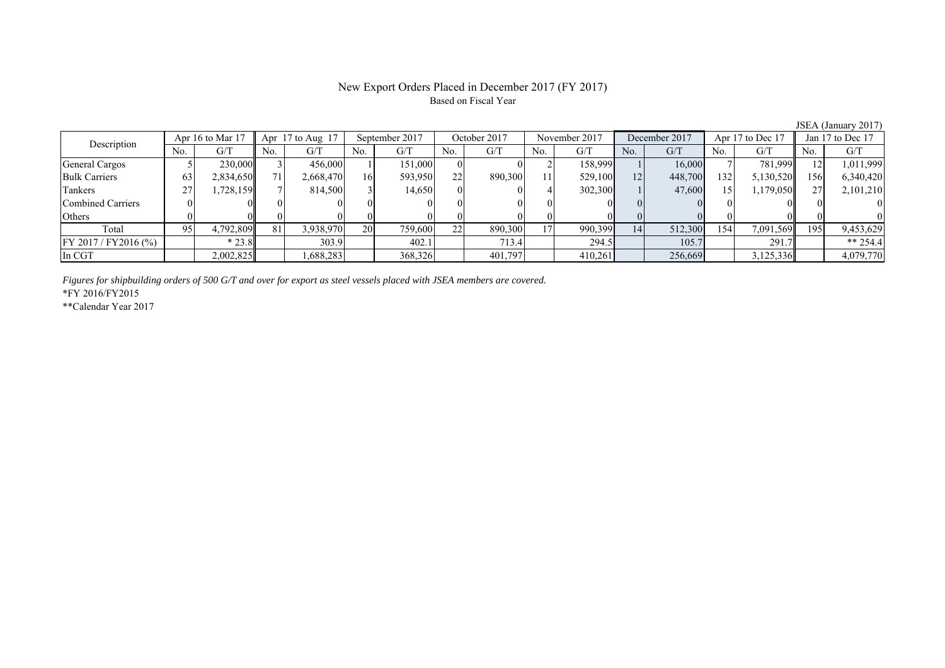# Based on Fiscal Year

JSEA (January 2017)<br>
Jan 17 to Dec 17 No. G/T No. G/T No. G/T No. G/T No. G/T No. G/T No. G/T No. G/T General Cargos ( 5 230,000 3 456,000 1 151,000 0 0 2 158,999 1 16,000 7 781,999 12 1,011,999 Bulk Carriers 63 2,834,650 71 2,668,470 16 593,950 22 890,300 11 529,100 12 448,700 132 5,130,520 156 6,340,420 Tankers | 27 | 1,728,159 || 7 | 814,500 | 3 | 14,650 | 0 | 4 | 302,300 | 1 | 47,600 | 15 | 1,179,050 | 27 | 2,101,210 Combined Carriers 0 0 0 0 0 0 0 0 0 0 0 0 0 0 0 0 Others | 0 | 0 || 0 || 0 || 0 || 0 || 0 || 0 || 0 || 0 || 0 | Total 95 4,792,809 81 3,938,970 20 759,600 22 890,300 17 990,399 14 512,300 154 7,091,569 195 9,453,629 FY 2017 / FY2016 (%) \* 23.8 303.9 402.1 713.4 294.5 105.7 291.7 \*\* 254.4 In CGT | | 2,002,825|| | 1,688,283| | 368,326| | 401,797| | 410,261| | 256,669| | 3,125,336|| | 4,079,770 September 2017 October 2017 Description Apr 16 to Mar 17 Apr 17 to Aug 17 November 2017 December 2017 Apr 17 to Dec 17 Jan 17 to Dec 17

*Figures for shipbuilding orders of 500 G/T and over for export as steel vessels placed with JSEA members are covered.*

\*FY 2016/FY2015

\*\*Calendar Year 2017

# New Export Orders Placed in December 2017 (FY 2017)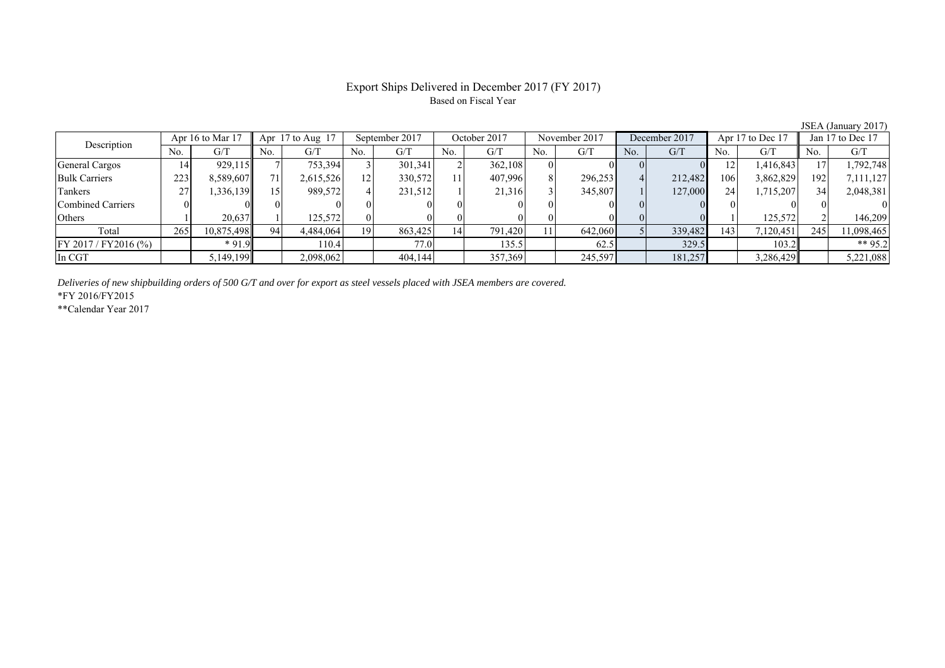#### Export Ships Delivered in December 2017 (FY 2017) Based on Fiscal Year

| Description             | Apr 16 to Mar 17 |            | Apr $17$ to Aug $17$ |           | September 2017 |         | October 2017    |         | November 2017 |         | December 2017 |         | Apr 17 to Dec 17 |           | Jan 17 to Dec 17 |            |
|-------------------------|------------------|------------|----------------------|-----------|----------------|---------|-----------------|---------|---------------|---------|---------------|---------|------------------|-----------|------------------|------------|
|                         | No.              | G/T        | No.                  | G/T       | No.            | G/T     | No.             | G/T     | No.           | G/T     | No.           | G/T     | No.              | G/T       | No.              | G/T        |
| General Cargos          | 14               | 929,115    |                      | 753,394   |                | 301,341 |                 | 362,108 |               |         |               |         | 12               | 1,416,843 |                  | 1,792,748  |
| <b>Bulk Carriers</b>    | 223              | 8,589,607  |                      | 2,615,526 | 12             | 330,572 |                 | 407,996 |               | 296,253 |               | 212.482 | 106              | 3,862,829 | 192              | 7,111,127  |
| Tankers                 |                  | 336,139    |                      | 989,572   |                | 231,512 |                 | 21,316  |               | 345,807 |               | 127,000 | 24               | 1,715,207 | 34               | 2,048,381  |
| Combined Carriers       |                  |            |                      |           |                |         |                 |         |               |         |               |         |                  |           |                  |            |
| Others                  |                  | 20,637     |                      | 125.572   |                |         |                 |         |               |         |               |         |                  | 125,572   |                  | 146.209    |
| Total                   | 265              | 10,875,498 | 94                   | 4,484,064 | 19             | 863,425 | 14 <sub>1</sub> | 791,420 |               | 642,060 |               | 339,482 | 143              | 7,120,451 | 245              | 11,098,465 |
| $FY 2017 / FY 2016$ (%) |                  | $*91.9$    |                      | 110.4     |                | 77.0    |                 | 135.5   |               | 62.5    |               | 329.5   |                  | 103.2     |                  | ** 95.2    |
| In CGT                  |                  | 5,149,199  |                      | 2,098,062 |                | 404,144 |                 | 357,369 |               | 245,597 |               | 181,257 |                  | 3,286,429 |                  | 5,221,088  |

*Deliveries of new shipbuilding orders of 500 G/T and over for export as steel vessels placed with JSEA members are covered.*

\*FY 2016/FY2015

\*\*Calendar Year 2017

JSEA (January 2017)